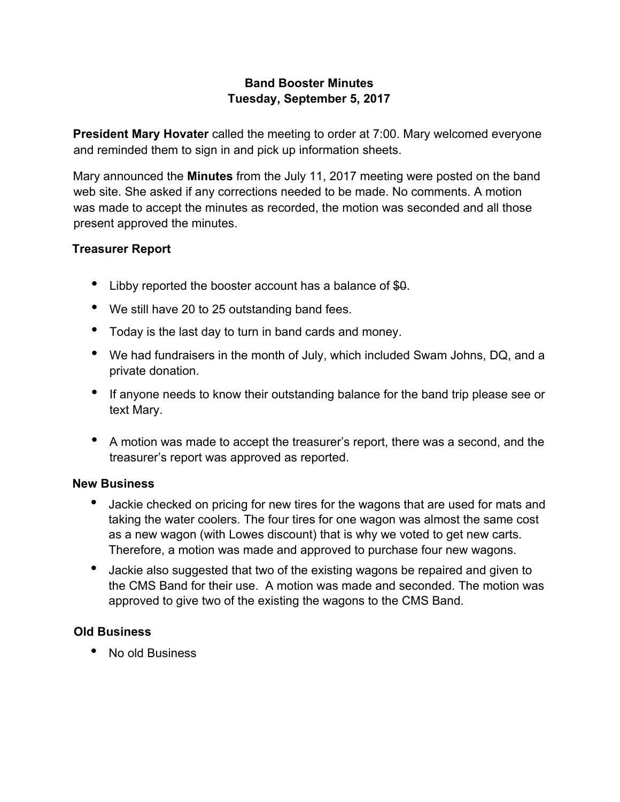# **Band Booster Minutes Tuesday, September 5, 2017**

**President Mary Hovater** called the meeting to order at 7:00. Mary welcomed everyone and reminded them to sign in and pick up information sheets.

Mary announced the **Minutes** from the July 11, 2017 meeting were posted on the band web site. She asked if any corrections needed to be made. No comments. A motion was made to accept the minutes as recorded, the motion was seconded and all those present approved the minutes.

# **Treasurer Report**

- Libby reported the booster account has a balance of \$0.
- We still have 20 to 25 outstanding band fees.
- Today is the last day to turn in band cards and money.
- We had fundraisers in the month of July, which included Swam Johns, DQ, and a private donation.
- If anyone needs to know their outstanding balance for the band trip please see or text Mary.
- A motion was made to accept the treasurer's report, there was a second, and the treasurer's report was approved as reported.

#### **New Business**

- Jackie checked on pricing for new tires for the wagons that are used for mats and taking the water coolers. The four tires for one wagon was almost the same cost as a new wagon (with Lowes discount) that is why we voted to get new carts. Therefore, a motion was made and approved to purchase four new wagons.
- Jackie also suggested that two of the existing wagons be repaired and given to the CMS Band for their use. A motion was made and seconded. The motion was approved to give two of the existing the wagons to the CMS Band.

#### **Old Business**

• No old Business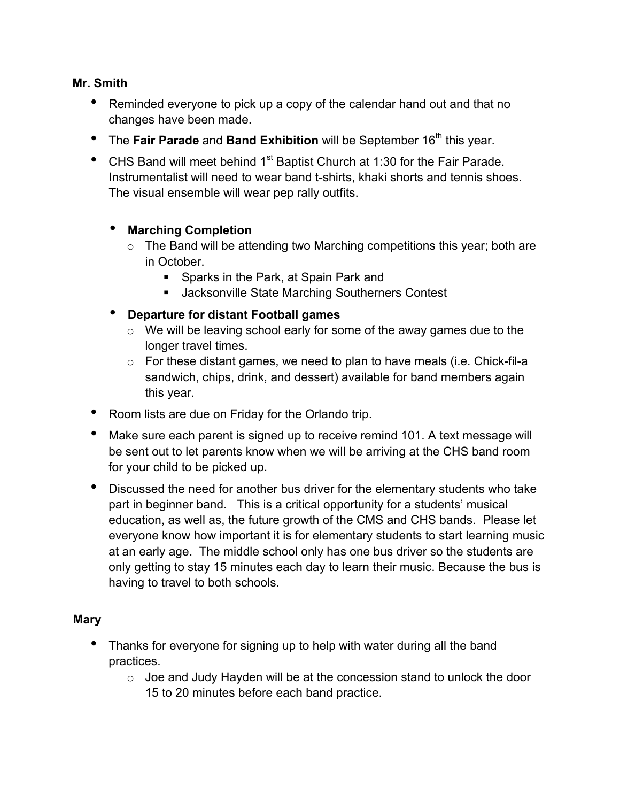### **Mr. Smith**

- Reminded everyone to pick up a copy of the calendar hand out and that no changes have been made.
- The Fair Parade and Band Exhibition will be September 16<sup>th</sup> this year.
- CHS Band will meet behind 1<sup>st</sup> Baptist Church at 1:30 for the Fair Parade. Instrumentalist will need to wear band t-shirts, khaki shorts and tennis shoes. The visual ensemble will wear pep rally outfits.

# • **Marching Completion**

- $\circ$  The Band will be attending two Marching competitions this year; both are in October.
	- ! Sparks in the Park, at Spain Park and
	- **E** Jacksonville State Marching Southerners Contest
- **Departure for distant Football games**
	- o We will be leaving school early for some of the away games due to the longer travel times.
	- o For these distant games, we need to plan to have meals (i.e. Chick-fil-a sandwich, chips, drink, and dessert) available for band members again this year.
- Room lists are due on Friday for the Orlando trip.
- Make sure each parent is signed up to receive remind 101. A text message will be sent out to let parents know when we will be arriving at the CHS band room for your child to be picked up.
- Discussed the need for another bus driver for the elementary students who take part in beginner band. This is a critical opportunity for a students' musical education, as well as, the future growth of the CMS and CHS bands. Please let everyone know how important it is for elementary students to start learning music at an early age. The middle school only has one bus driver so the students are only getting to stay 15 minutes each day to learn their music. Because the bus is having to travel to both schools.

# **Mary**

- Thanks for everyone for signing up to help with water during all the band practices.
	- o Joe and Judy Hayden will be at the concession stand to unlock the door 15 to 20 minutes before each band practice.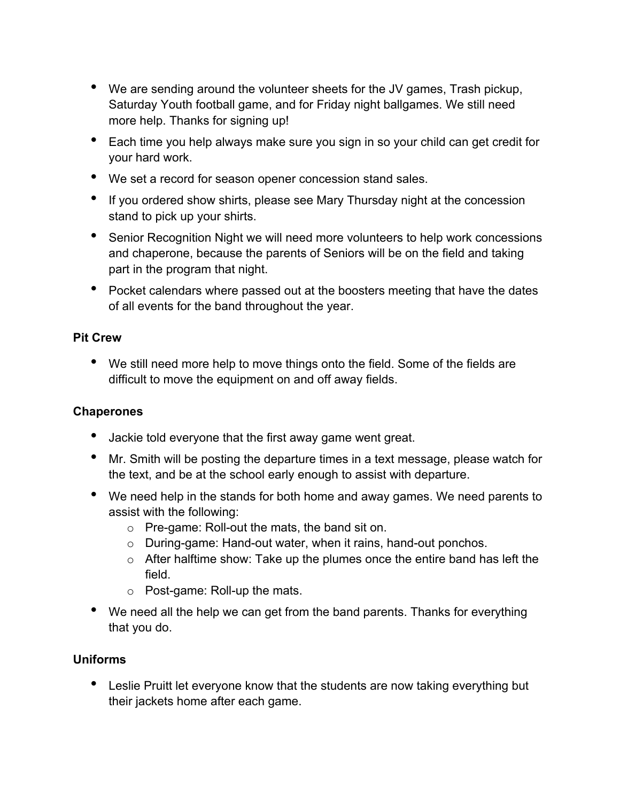- We are sending around the volunteer sheets for the JV games, Trash pickup, Saturday Youth football game, and for Friday night ballgames. We still need more help. Thanks for signing up!
- Each time you help always make sure you sign in so your child can get credit for your hard work.
- We set a record for season opener concession stand sales.
- If you ordered show shirts, please see Mary Thursday night at the concession stand to pick up your shirts.
- Senior Recognition Night we will need more volunteers to help work concessions and chaperone, because the parents of Seniors will be on the field and taking part in the program that night.
- Pocket calendars where passed out at the boosters meeting that have the dates of all events for the band throughout the year.

# **Pit Crew**

• We still need more help to move things onto the field. Some of the fields are difficult to move the equipment on and off away fields.

# **Chaperones**

- Jackie told everyone that the first away game went great.
- Mr. Smith will be posting the departure times in a text message, please watch for the text, and be at the school early enough to assist with departure.
- We need help in the stands for both home and away games. We need parents to assist with the following:
	- o Pre-game: Roll-out the mats, the band sit on.
	- o During-game: Hand-out water, when it rains, hand-out ponchos.
	- o After halftime show: Take up the plumes once the entire band has left the field.
	- o Post-game: Roll-up the mats.
- We need all the help we can get from the band parents. Thanks for everything that you do.

# **Uniforms**

• Leslie Pruitt let everyone know that the students are now taking everything but their jackets home after each game.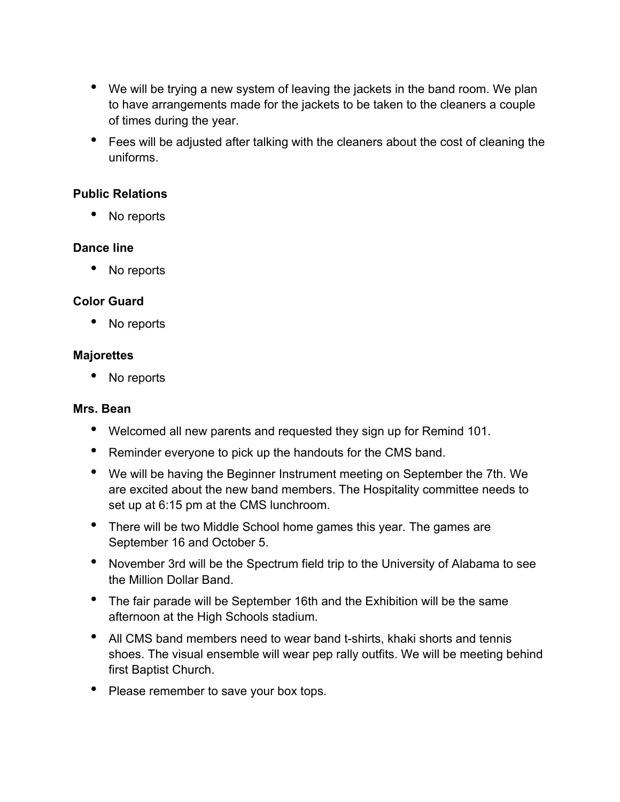- We will be trying a new system of leaving the jackets in the band room. We plan to have arrangements made for the jackets to be taken to the cleaners a couple of times during the year.
- Fees will be adjusted after talking with the cleaners about the cost of cleaning the uniforms.

# **Public Relations**

• No reports

# **Dance line**

• No reports

### **Color Guard**

• No reports

### **Majorettes**

No reports

#### **Mrs. Bean**

- Welcomed all new parents and requested they sign up for Remind 101.
- Reminder everyone to pick up the handouts for the CMS band.
- We will be having the Beginner Instrument meeting on September the 7th. We are excited about the new band members. The Hospitality committee needs to set up at 6:15 pm at the CMS lunchroom.
- There will be two Middle School home games this year. The games are September 16 and October 5.
- November 3rd will be the Spectrum field trip to the University of Alabama to see the Million Dollar Band.
- The fair parade will be September 16th and the Exhibition will be the same afternoon at the High Schools stadium.
- All CMS band members need to wear band t-shirts, khaki shorts and tennis shoes. The visual ensemble will wear pep rally outfits. We will be meeting behind first Baptist Church.
- Please remember to save your box tops.